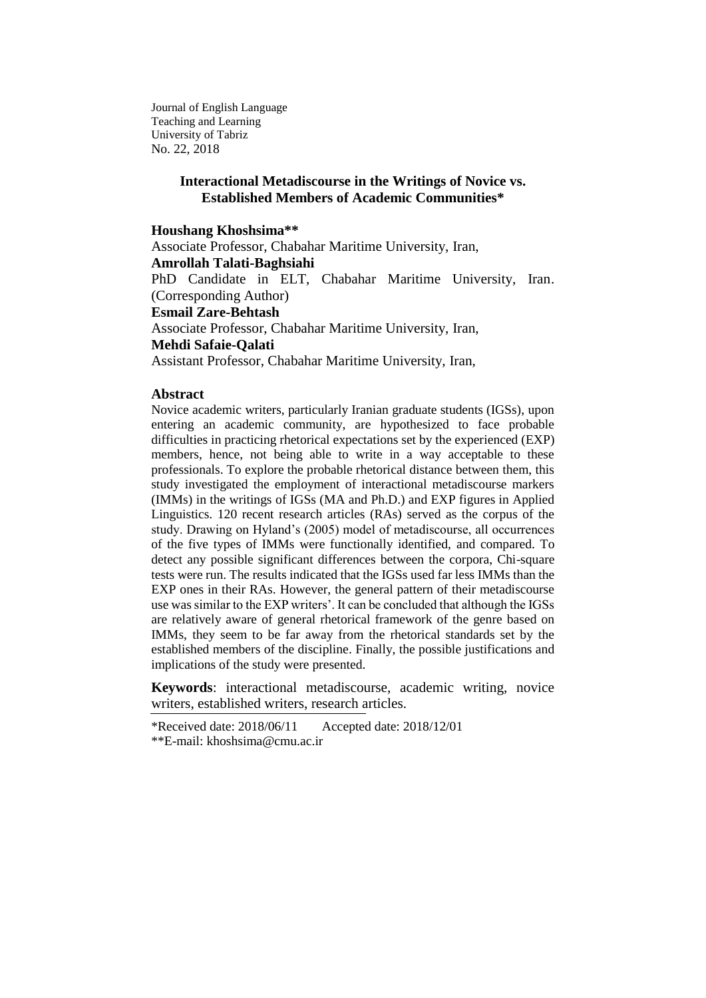Journal of English Language Teaching and Learning University of Tabriz No. 22, 2018

## **Interactional Metadiscourse in the Writings of Novice vs. Established Members of Academic Communities\***

### **Houshang Khoshsima\*\***

Associate Professor, Chabahar Maritime University, Iran,

**Amrollah Talati-Baghsiahi**

PhD Candidate in ELT, Chabahar Maritime University, Iran. (Corresponding Author)

**Esmail Zare-Behtash** 

Associate Professor, Chabahar Maritime University, Iran,

#### **Mehdi Safaie-Qalati**

Assistant Professor, Chabahar Maritime University, Iran,

## **Abstract**

Novice academic writers, particularly Iranian graduate students (IGSs), upon entering an academic community, are hypothesized to face probable difficulties in practicing rhetorical expectations set by the experienced (EXP) members, hence, not being able to write in a way acceptable to these professionals. To explore the probable rhetorical distance between them, this study investigated the employment of interactional metadiscourse markers (IMMs) in the writings of IGSs (MA and Ph.D.) and EXP figures in Applied Linguistics. 120 recent research articles (RAs) served as the corpus of the study. Drawing on Hyland's (2005) model of metadiscourse, all occurrences of the five types of IMMs were functionally identified, and compared. To detect any possible significant differences between the corpora, Chi-square tests were run. The results indicated that the IGSs used far less IMMs than the EXP ones in their RAs. However, the general pattern of their metadiscourse use was similar to the EXP writers'. It can be concluded that although the IGSs are relatively aware of general rhetorical framework of the genre based on IMMs, they seem to be far away from the rhetorical standards set by the established members of the discipline. Finally, the possible justifications and implications of the study were presented.

**Keywords**: interactional metadiscourse, academic writing, novice writers, established writers, research articles.

\*Received date: 2018/06/11 Accepted date: 2018/12/01

<sup>\*\*</sup>E-mail: [khoshsima@cmu.ac.ir](mailto:khoshsima@cmu.ac.ir)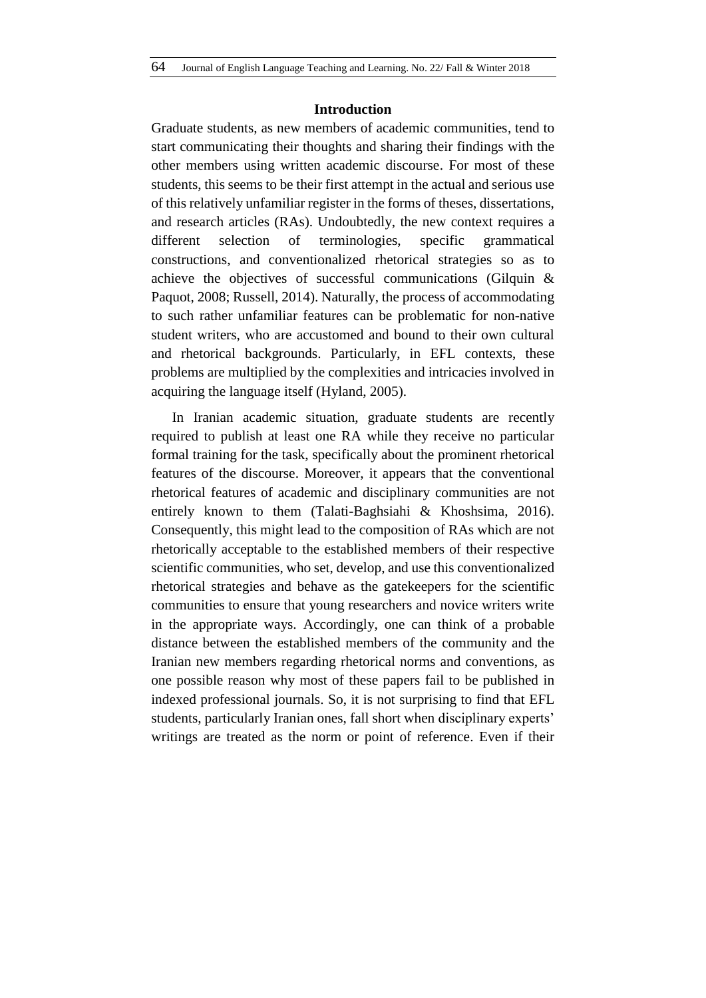### **Introduction**

Graduate students, as new members of academic communities, tend to start communicating their thoughts and sharing their findings with the other members using written academic discourse. For most of these students, this seems to be their first attempt in the actual and serious use of this relatively unfamiliar register in the forms of theses, dissertations, and research articles (RAs). Undoubtedly, the new context requires a different selection of terminologies, specific grammatical constructions, and conventionalized rhetorical strategies so as to achieve the objectives of successful communications (Gilquin & Paquot, 2008; Russell, 2014). Naturally, the process of accommodating to such rather unfamiliar features can be problematic for non-native student writers, who are accustomed and bound to their own cultural and rhetorical backgrounds. Particularly, in EFL contexts, these problems are multiplied by the complexities and intricacies involved in acquiring the language itself (Hyland, 2005).

In Iranian academic situation, graduate students are recently required to publish at least one RA while they receive no particular formal training for the task, specifically about the prominent rhetorical features of the discourse. Moreover, it appears that the conventional rhetorical features of academic and disciplinary communities are not entirely known to them (Talati-Baghsiahi & Khoshsima, 2016). Consequently, this might lead to the composition of RAs which are not rhetorically acceptable to the established members of their respective scientific communities, who set, develop, and use this conventionalized rhetorical strategies and behave as the gatekeepers for the scientific communities to ensure that young researchers and novice writers write in the appropriate ways. Accordingly, one can think of a probable distance between the established members of the community and the Iranian new members regarding rhetorical norms and conventions, as one possible reason why most of these papers fail to be published in indexed professional journals. So, it is not surprising to find that EFL students, particularly Iranian ones, fall short when disciplinary experts' writings are treated as the norm or point of reference. Even if their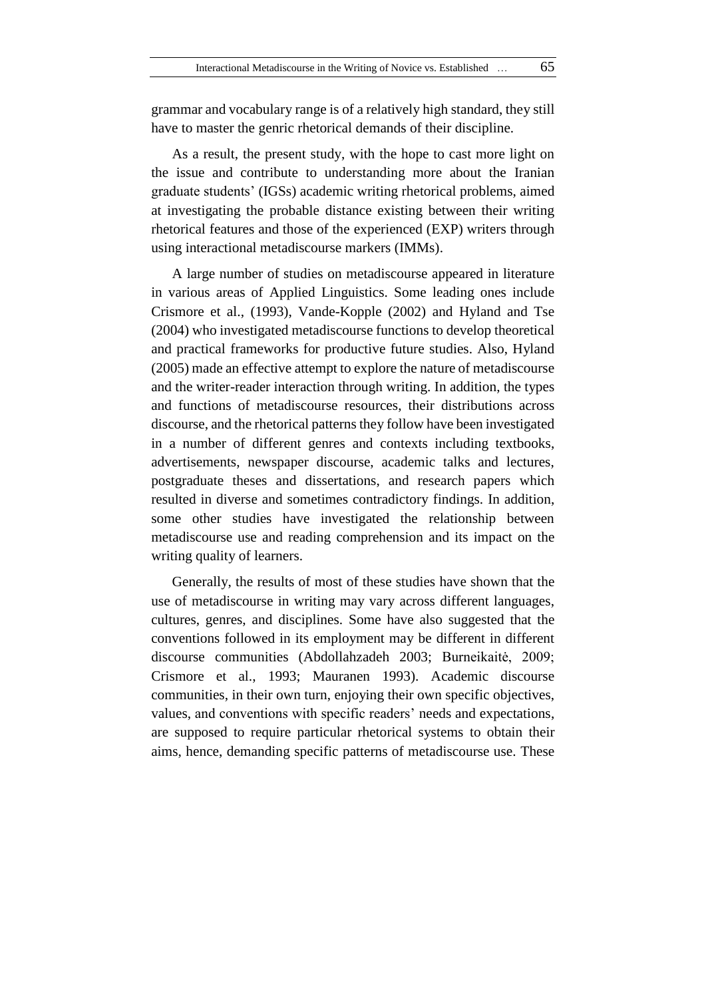grammar and vocabulary range is of a relatively high standard, they still have to master the genric rhetorical demands of their discipline.

As a result, the present study, with the hope to cast more light on the issue and contribute to understanding more about the Iranian graduate students' (IGSs) academic writing rhetorical problems, aimed at investigating the probable distance existing between their writing rhetorical features and those of the experienced (EXP) writers through using interactional metadiscourse markers (IMMs).

A large number of studies on metadiscourse appeared in literature in various areas of Applied Linguistics. Some leading ones include Crismore et al., (1993), Vande-Kopple (2002) and Hyland and Tse (2004) who investigated metadiscourse functions to develop theoretical and practical frameworks for productive future studies. Also, Hyland (2005) made an effective attempt to explore the nature of metadiscourse and the writer-reader interaction through writing. In addition, the types and functions of metadiscourse resources, their distributions across discourse, and the rhetorical patterns they follow have been investigated in a number of different genres and contexts including textbooks, advertisements, newspaper discourse, academic talks and lectures, postgraduate theses and dissertations, and research papers which resulted in diverse and sometimes contradictory findings. In addition, some other studies have investigated the relationship between metadiscourse use and reading comprehension and its impact on the writing quality of learners.

Generally, the results of most of these studies have shown that the use of metadiscourse in writing may vary across different languages, cultures, genres, and disciplines. Some have also suggested that the conventions followed in its employment may be different in different discourse communities (Abdollahzadeh 2003; Burneikaitė, 2009; Crismore et al., 1993; Mauranen 1993). Academic discourse communities, in their own turn, enjoying their own specific objectives, values, and conventions with specific readers' needs and expectations, are supposed to require particular rhetorical systems to obtain their aims, hence, demanding specific patterns of metadiscourse use. These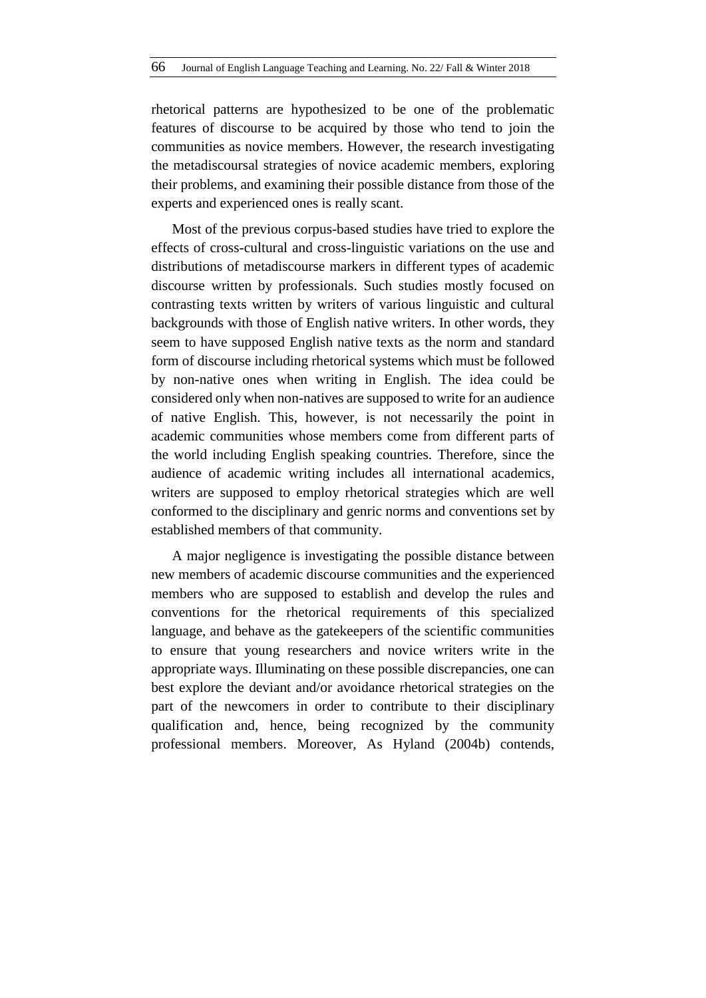rhetorical patterns are hypothesized to be one of the problematic features of discourse to be acquired by those who tend to join the communities as novice members. However, the research investigating the metadiscoursal strategies of novice academic members, exploring their problems, and examining their possible distance from those of the experts and experienced ones is really scant.

Most of the previous corpus-based studies have tried to explore the effects of cross-cultural and cross-linguistic variations on the use and distributions of metadiscourse markers in different types of academic discourse written by professionals. Such studies mostly focused on contrasting texts written by writers of various linguistic and cultural backgrounds with those of English native writers. In other words, they seem to have supposed English native texts as the norm and standard form of discourse including rhetorical systems which must be followed by non-native ones when writing in English. The idea could be considered only when non-natives are supposed to write for an audience of native English. This, however, is not necessarily the point in academic communities whose members come from different parts of the world including English speaking countries. Therefore, since the audience of academic writing includes all international academics, writers are supposed to employ rhetorical strategies which are well conformed to the disciplinary and genric norms and conventions set by established members of that community.

A major negligence is investigating the possible distance between new members of academic discourse communities and the experienced members who are supposed to establish and develop the rules and conventions for the rhetorical requirements of this specialized language, and behave as the gatekeepers of the scientific communities to ensure that young researchers and novice writers write in the appropriate ways. Illuminating on these possible discrepancies, one can best explore the deviant and/or avoidance rhetorical strategies on the part of the newcomers in order to contribute to their disciplinary qualification and, hence, being recognized by the community professional members. Moreover, As Hyland (2004b) contends,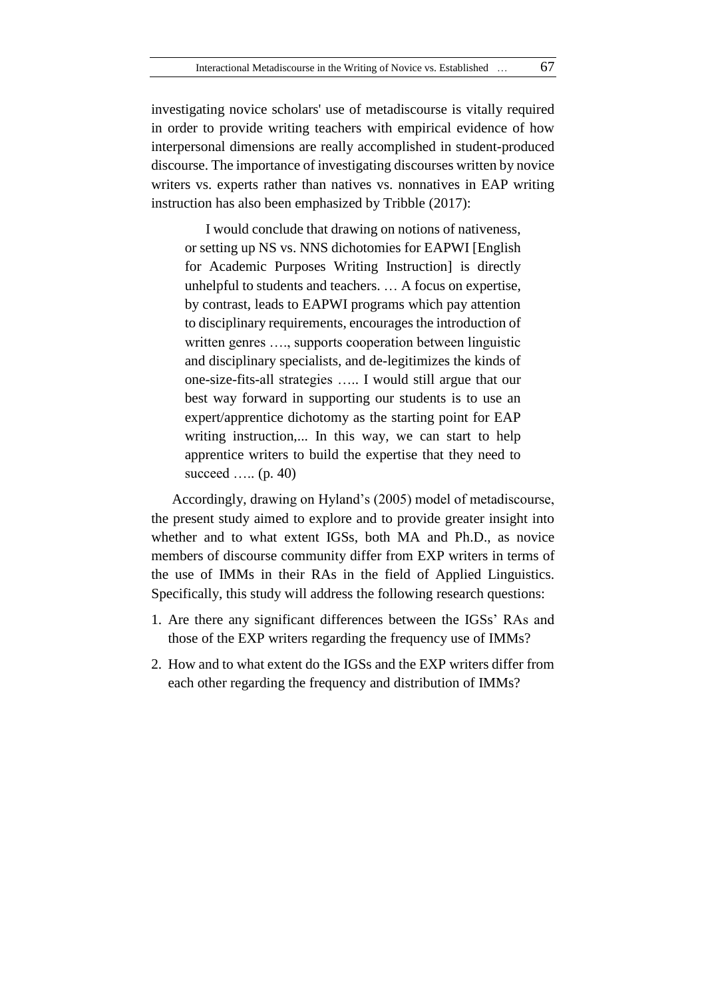investigating novice scholars' use of metadiscourse is vitally required in order to provide writing teachers with empirical evidence of how interpersonal dimensions are really accomplished in student-produced discourse. The importance of investigating discourses written by novice writers vs. experts rather than natives vs. nonnatives in EAP writing instruction has also been emphasized by Tribble (2017):

I would conclude that drawing on notions of nativeness, or setting up NS vs. NNS dichotomies for EAPWI [English for Academic Purposes Writing Instruction] is directly unhelpful to students and teachers. … A focus on expertise, by contrast, leads to EAPWI programs which pay attention to disciplinary requirements, encourages the introduction of written genres …., supports cooperation between linguistic and disciplinary specialists, and de-legitimizes the kinds of one-size-fits-all strategies ….. I would still argue that our best way forward in supporting our students is to use an expert/apprentice dichotomy as the starting point for EAP writing instruction,... In this way, we can start to help apprentice writers to build the expertise that they need to succeed ….. (p. 40)

Accordingly, drawing on Hyland's (2005) model of metadiscourse, the present study aimed to explore and to provide greater insight into whether and to what extent IGSs, both MA and Ph.D., as novice members of discourse community differ from EXP writers in terms of the use of IMMs in their RAs in the field of Applied Linguistics. Specifically, this study will address the following research questions:

- 1. Are there any significant differences between the IGSs' RAs and those of the EXP writers regarding the frequency use of IMMs?
- 2. How and to what extent do the IGSs and the EXP writers differ from each other regarding the frequency and distribution of IMMs?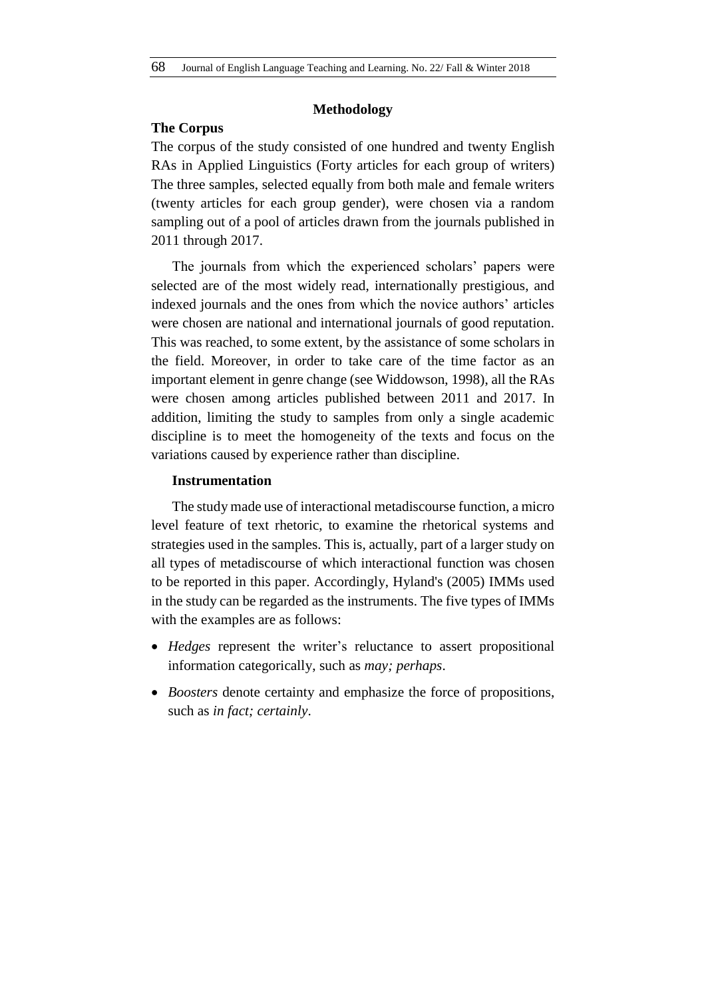## **Methodology**

# **The Corpus**

The corpus of the study consisted of one hundred and twenty English RAs in Applied Linguistics (Forty articles for each group of writers) The three samples, selected equally from both male and female writers (twenty articles for each group gender), were chosen via a random sampling out of a pool of articles drawn from the journals published in 2011 through 2017.

The journals from which the experienced scholars' papers were selected are of the most widely read, internationally prestigious, and indexed journals and the ones from which the novice authors' articles were chosen are national and international journals of good reputation. This was reached, to some extent, by the assistance of some scholars in the field. Moreover, in order to take care of the time factor as an important element in genre change (see Widdowson, 1998), all the RAs were chosen among articles published between 2011 and 2017. In addition, limiting the study to samples from only a single academic discipline is to meet the homogeneity of the texts and focus on the variations caused by experience rather than discipline.

### **Instrumentation**

The study made use of interactional metadiscourse function, a micro level feature of text rhetoric, to examine the rhetorical systems and strategies used in the samples. This is, actually, part of a larger study on all types of metadiscourse of which interactional function was chosen to be reported in this paper. Accordingly, Hyland's (2005) IMMs used in the study can be regarded as the instruments. The five types of IMMs with the examples are as follows:

- *Hedges* represent the writer's reluctance to assert propositional information categorically, such as *may; perhaps*.
- *Boosters* denote certainty and emphasize the force of propositions, such as *in fact; certainly*.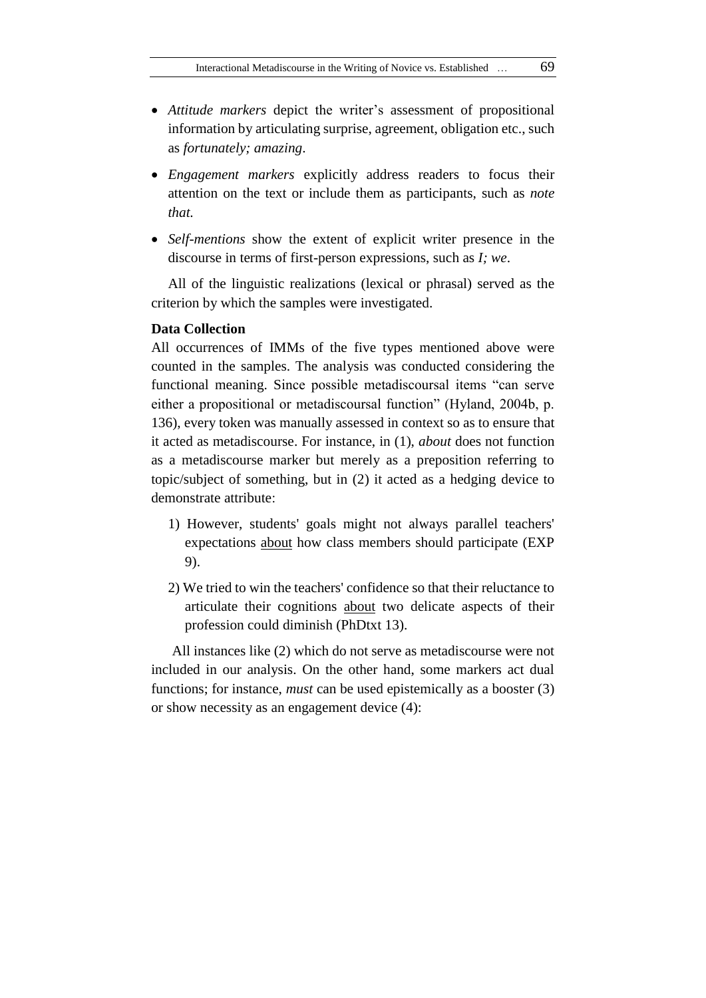- *Attitude markers* depict the writer's assessment of propositional information by articulating surprise, agreement, obligation etc., such as *fortunately; amazing*.
- *Engagement markers* explicitly address readers to focus their attention on the text or include them as participants, such as *note that.*
- *Self-mentions* show the extent of explicit writer presence in the discourse in terms of first-person expressions, such as *I; we*.

All of the linguistic realizations (lexical or phrasal) served as the criterion by which the samples were investigated.

### **Data Collection**

All occurrences of IMMs of the five types mentioned above were counted in the samples. The analysis was conducted considering the functional meaning. Since possible metadiscoursal items "can serve either a propositional or metadiscoursal function" (Hyland, 2004b, p. 136), every token was manually assessed in context so as to ensure that it acted as metadiscourse. For instance, in (1), *about* does not function as a metadiscourse marker but merely as a preposition referring to topic/subject of something, but in (2) it acted as a hedging device to demonstrate attribute:

- 1) However, students' goals might not always parallel teachers' expectations about how class members should participate (EXP 9).
- 2) We tried to win the teachers' confidence so that their reluctance to articulate their cognitions about two delicate aspects of their profession could diminish (PhDtxt 13).

All instances like (2) which do not serve as metadiscourse were not included in our analysis. On the other hand, some markers act dual functions; for instance, *must* can be used epistemically as a booster (3) or show necessity as an engagement device (4):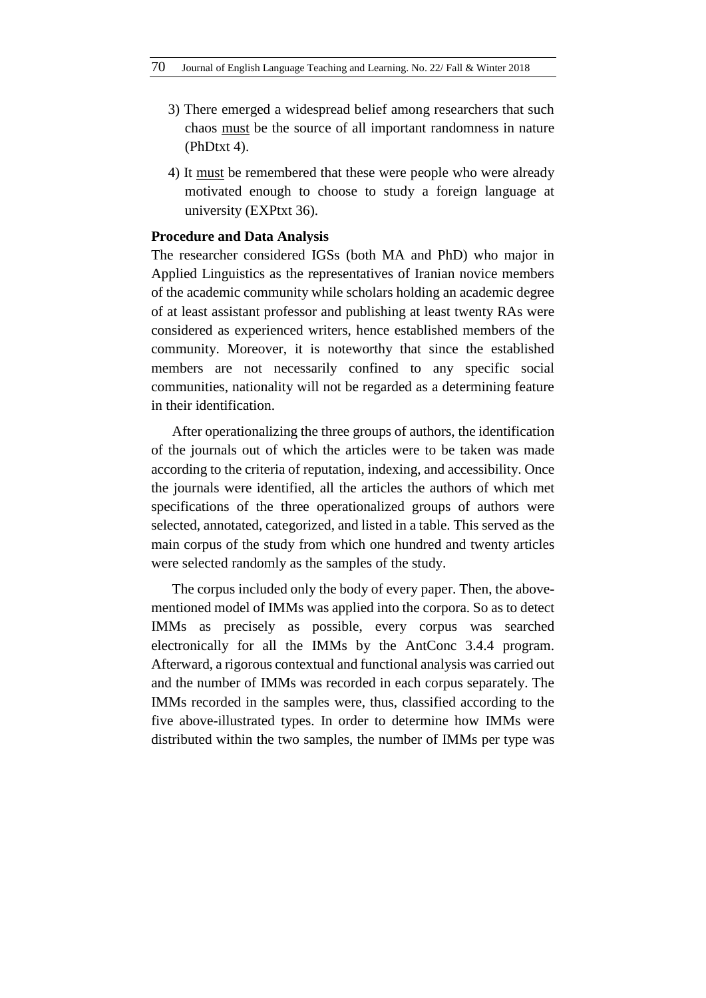- 3) There emerged a widespread belief among researchers that such chaos must be the source of all important randomness in nature (PhDtxt 4).
- 4) It must be remembered that these were people who were already motivated enough to choose to study a foreign language at university (EXPtxt 36).

### **Procedure and Data Analysis**

The researcher considered IGSs (both MA and PhD) who major in Applied Linguistics as the representatives of Iranian novice members of the academic community while scholars holding an academic degree of at least assistant professor and publishing at least twenty RAs were considered as experienced writers, hence established members of the community. Moreover, it is noteworthy that since the established members are not necessarily confined to any specific social communities, nationality will not be regarded as a determining feature in their identification.

After operationalizing the three groups of authors, the identification of the journals out of which the articles were to be taken was made according to the criteria of reputation, indexing, and accessibility. Once the journals were identified, all the articles the authors of which met specifications of the three operationalized groups of authors were selected, annotated, categorized, and listed in a table. This served as the main corpus of the study from which one hundred and twenty articles were selected randomly as the samples of the study.

The corpus included only the body of every paper. Then, the abovementioned model of IMMs was applied into the corpora. So as to detect IMMs as precisely as possible, every corpus was searched electronically for all the IMMs by the AntConc 3.4.4 program. Afterward, a rigorous contextual and functional analysis was carried out and the number of IMMs was recorded in each corpus separately. The IMMs recorded in the samples were, thus, classified according to the five above-illustrated types. In order to determine how IMMs were distributed within the two samples, the number of IMMs per type was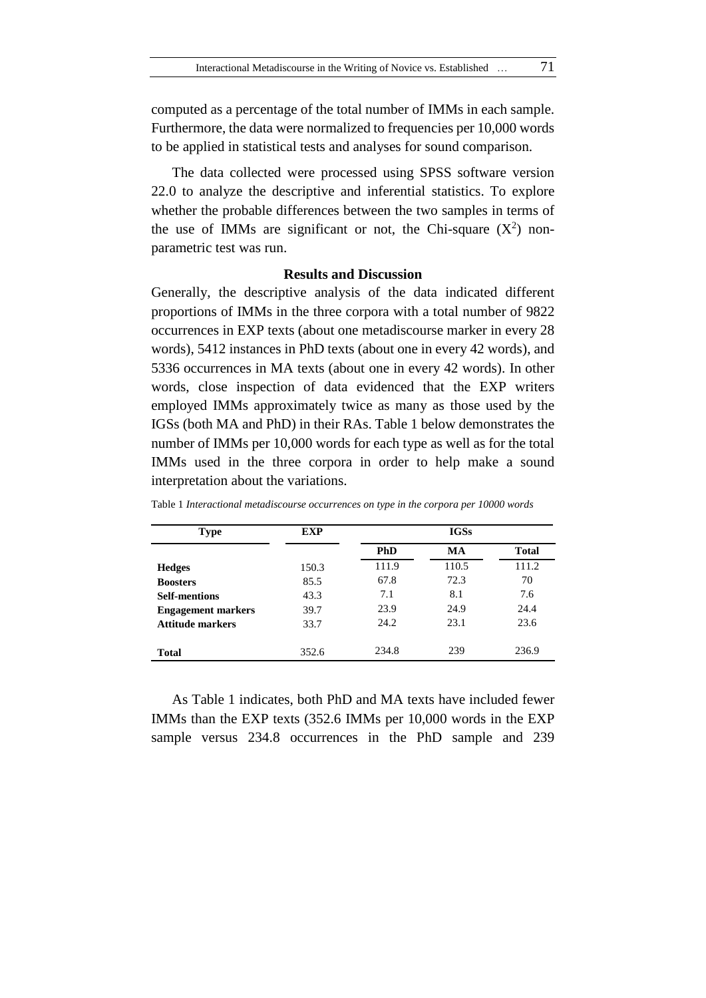computed as a percentage of the total number of IMMs in each sample. Furthermore, the data were normalized to frequencies per 10,000 words to be applied in statistical tests and analyses for sound comparison.

The data collected were processed using SPSS software version 22.0 to analyze the descriptive and inferential statistics. To explore whether the probable differences between the two samples in terms of the use of IMMs are significant or not, the Chi-square  $(X^2)$  nonparametric test was run.

### **Results and Discussion**

Generally, the descriptive analysis of the data indicated different proportions of IMMs in the three corpora with a total number of 9822 occurrences in EXP texts (about one metadiscourse marker in every 28 words), 5412 instances in PhD texts (about one in every 42 words), and 5336 occurrences in MA texts (about one in every 42 words). In other words, close inspection of data evidenced that the EXP writers employed IMMs approximately twice as many as those used by the IGSs (both MA and PhD) in their RAs. Table 1 below demonstrates the number of IMMs per 10,000 words for each type as well as for the total IMMs used in the three corpora in order to help make a sound interpretation about the variations.

| <b>Type</b>               | <b>EXP</b> | <b>IGSs</b> |       |              |
|---------------------------|------------|-------------|-------|--------------|
|                           |            | <b>PhD</b>  | MA    | <b>Total</b> |
| <b>Hedges</b>             | 150.3      | 111.9       | 110.5 | 111.2        |
| <b>Boosters</b>           | 85.5       | 67.8        | 72.3  | 70           |
| <b>Self-mentions</b>      | 43.3       | 7.1         | 8.1   | 7.6          |
| <b>Engagement markers</b> | 39.7       | 23.9        | 24.9  | 24.4         |
| <b>Attitude markers</b>   | 33.7       | 24.2        | 23.1  | 23.6         |
|                           |            |             |       |              |
| <b>Total</b>              | 352.6      | 234.8       | 239   | 236.9        |

Table 1 *Interactional metadiscourse occurrences on type in the corpora per 10000 words*

As Table 1 indicates, both PhD and MA texts have included fewer IMMs than the EXP texts (352.6 IMMs per 10,000 words in the EXP sample versus 234.8 occurrences in the PhD sample and 239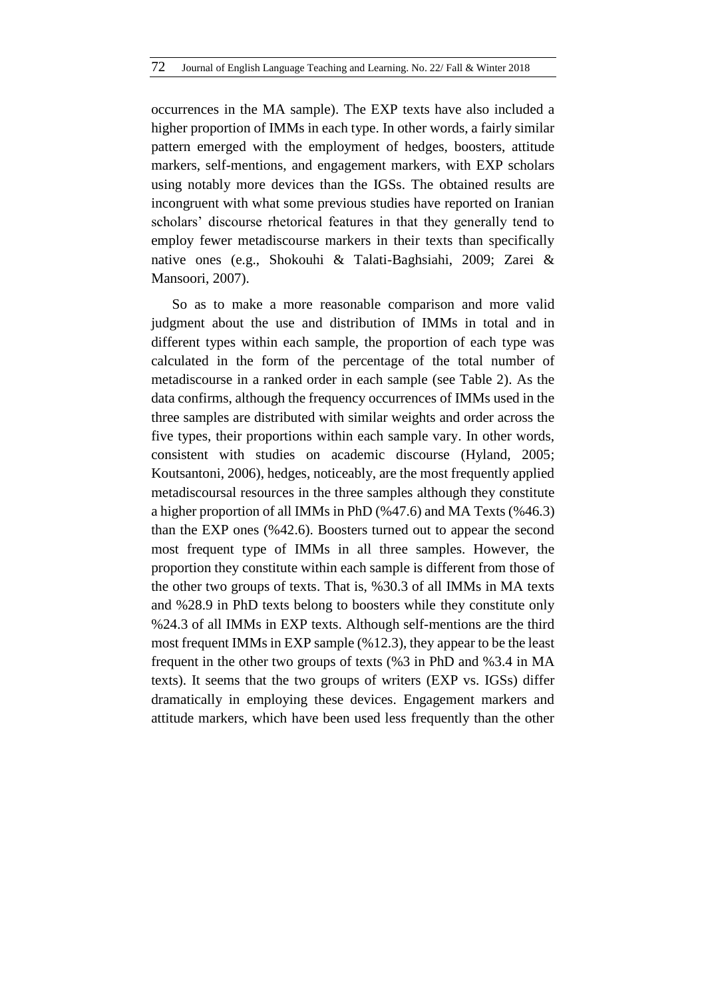occurrences in the MA sample). The EXP texts have also included a higher proportion of IMMs in each type. In other words, a fairly similar pattern emerged with the employment of hedges, boosters, attitude markers, self-mentions, and engagement markers, with EXP scholars using notably more devices than the IGSs. The obtained results are incongruent with what some previous studies have reported on Iranian scholars' discourse rhetorical features in that they generally tend to employ fewer metadiscourse markers in their texts than specifically native ones (e.g., Shokouhi & Talati-Baghsiahi, 2009; Zarei & Mansoori, 2007).

So as to make a more reasonable comparison and more valid judgment about the use and distribution of IMMs in total and in different types within each sample, the proportion of each type was calculated in the form of the percentage of the total number of metadiscourse in a ranked order in each sample (see Table 2). As the data confirms, although the frequency occurrences of IMMs used in the three samples are distributed with similar weights and order across the five types, their proportions within each sample vary. In other words, consistent with studies on academic discourse (Hyland, 2005; Koutsantoni, 2006), hedges, noticeably, are the most frequently applied metadiscoursal resources in the three samples although they constitute a higher proportion of all IMMs in PhD (%47.6) and MA Texts (%46.3) than the EXP ones (%42.6). Boosters turned out to appear the second most frequent type of IMMs in all three samples. However, the proportion they constitute within each sample is different from those of the other two groups of texts. That is, %30.3 of all IMMs in MA texts and %28.9 in PhD texts belong to boosters while they constitute only %24.3 of all IMMs in EXP texts. Although self-mentions are the third most frequent IMMs in EXP sample (%12.3), they appear to be the least frequent in the other two groups of texts (%3 in PhD and %3.4 in MA texts). It seems that the two groups of writers (EXP vs. IGSs) differ dramatically in employing these devices. Engagement markers and attitude markers, which have been used less frequently than the other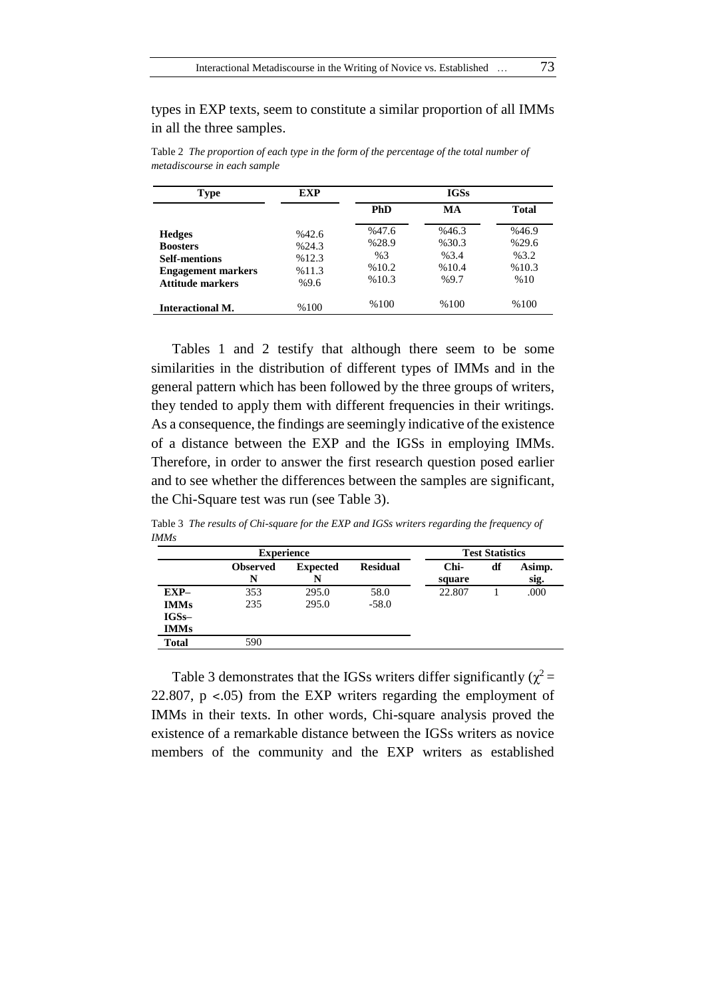types in EXP texts, seem to constitute a similar proportion of all IMMs in all the three samples.

| <b>Type</b>                                                                  | EXP                    |                      | <b>IGSs</b>           |                      |  |  |
|------------------------------------------------------------------------------|------------------------|----------------------|-----------------------|----------------------|--|--|
|                                                                              |                        | <b>PhD</b>           | MA                    | <b>Total</b>         |  |  |
| <b>Hedges</b><br><b>Boosters</b>                                             | %42.6<br>%24.3         | %47.6<br>%28.9       | %46.3<br>%30.3        | %46.9<br>%29.6       |  |  |
| <b>Self-mentions</b><br><b>Engagement markers</b><br><b>Attitude markers</b> | %12.3<br>%11.3<br>%9.6 | %3<br>%10.2<br>%10.3 | %3.4<br>%10.4<br>%9.7 | %3.2<br>%10.3<br>%10 |  |  |
| <b>Interactional M.</b>                                                      | %100                   | %100                 | %100                  | %100                 |  |  |

Table 2 *The proportion of each type in the form of the percentage of the total number of metadiscourse in each sample*

Tables 1 and 2 testify that although there seem to be some similarities in the distribution of different types of IMMs and in the general pattern which has been followed by the three groups of writers, they tended to apply them with different frequencies in their writings. As a consequence, the findings are seemingly indicative of the existence of a distance between the EXP and the IGSs in employing IMMs. Therefore, in order to answer the first research question posed earlier and to see whether the differences between the samples are significant, the Chi-Square test was run (see Table 3).

Table 3 *The results of Chi-square for the EXP and IGSs writers regarding the frequency of IMMs*

| <b>Experience</b> |                      |                      | <b>Test Statistics</b> |                |    |                |
|-------------------|----------------------|----------------------|------------------------|----------------|----|----------------|
|                   | <b>Observed</b><br>N | <b>Expected</b><br>N | <b>Residual</b>        | Chi-<br>square | df | Asimp.<br>sig. |
| $EXP-$            | 353                  | 295.0                | 58.0                   | 22.807         |    | .000           |
| <b>IMMs</b>       | 235                  | 295.0                | $-58.0$                |                |    |                |
| $IGSs-$           |                      |                      |                        |                |    |                |
| <b>IMMs</b>       |                      |                      |                        |                |    |                |
| <b>Total</b>      | 590                  |                      |                        |                |    |                |

Table 3 demonstrates that the IGSs writers differ significantly ( $\chi^2$  = 22.807, p ˂.05) from the EXP writers regarding the employment of IMMs in their texts. In other words, Chi-square analysis proved the existence of a remarkable distance between the IGSs writers as novice members of the community and the EXP writers as established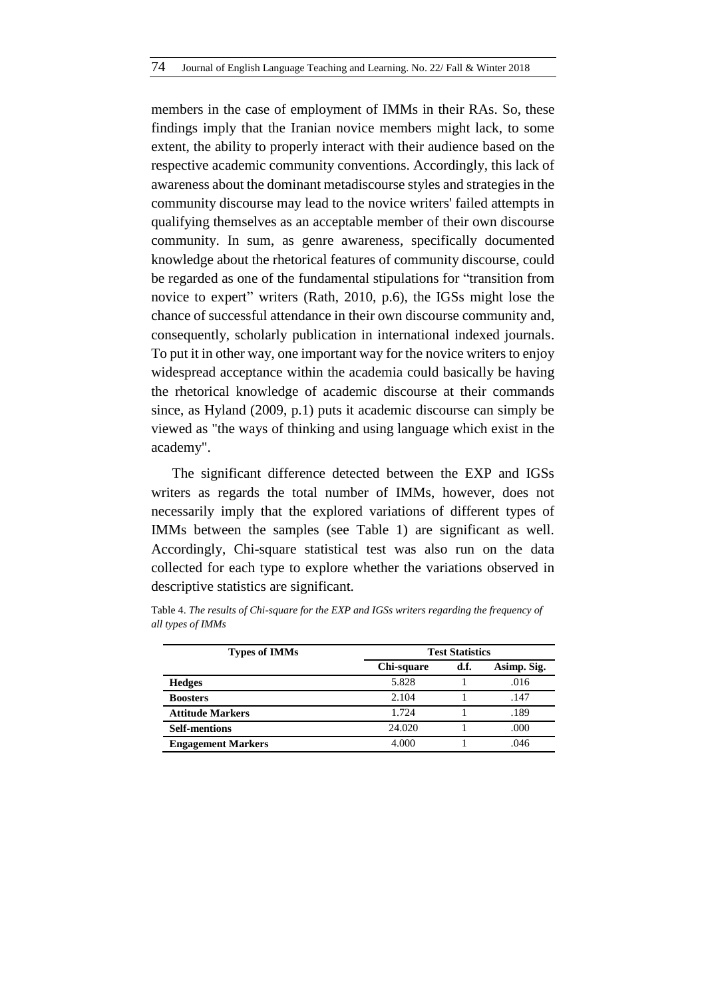members in the case of employment of IMMs in their RAs. So, these findings imply that the Iranian novice members might lack, to some extent, the ability to properly interact with their audience based on the respective academic community conventions. Accordingly, this lack of awareness about the dominant metadiscourse styles and strategies in the community discourse may lead to the novice writers' failed attempts in qualifying themselves as an acceptable member of their own discourse community. In sum, as genre awareness, specifically documented knowledge about the rhetorical features of community discourse, could be regarded as one of the fundamental stipulations for "transition from novice to expert" writers (Rath, 2010, p.6), the IGSs might lose the chance of successful attendance in their own discourse community and, consequently, scholarly publication in international indexed journals. To put it in other way, one important way for the novice writers to enjoy widespread acceptance within the academia could basically be having the rhetorical knowledge of academic discourse at their commands since, as Hyland (2009, p.1) puts it academic discourse can simply be viewed as "the ways of thinking and using language which exist in the academy".

The significant difference detected between the EXP and IGSs writers as regards the total number of IMMs, however, does not necessarily imply that the explored variations of different types of IMMs between the samples (see Table 1) are significant as well. Accordingly, Chi-square statistical test was also run on the data collected for each type to explore whether the variations observed in descriptive statistics are significant.

| <b>Types of IMMs</b>      | <b>Test Statistics</b> |      |             |  |
|---------------------------|------------------------|------|-------------|--|
|                           | Chi-square             | d.f. | Asimp. Sig. |  |
| <b>Hedges</b>             | 5.828                  |      | .016        |  |
| <b>Boosters</b>           | 2.104                  |      | .147        |  |
| <b>Attitude Markers</b>   | 1.724                  |      | .189        |  |
| <b>Self-mentions</b>      | 24.020                 |      | .000        |  |
| <b>Engagement Markers</b> | 4.000                  |      | .046        |  |

Table 4. *The results of Chi-square for the EXP and IGSs writers regarding the frequency of all types of IMMs*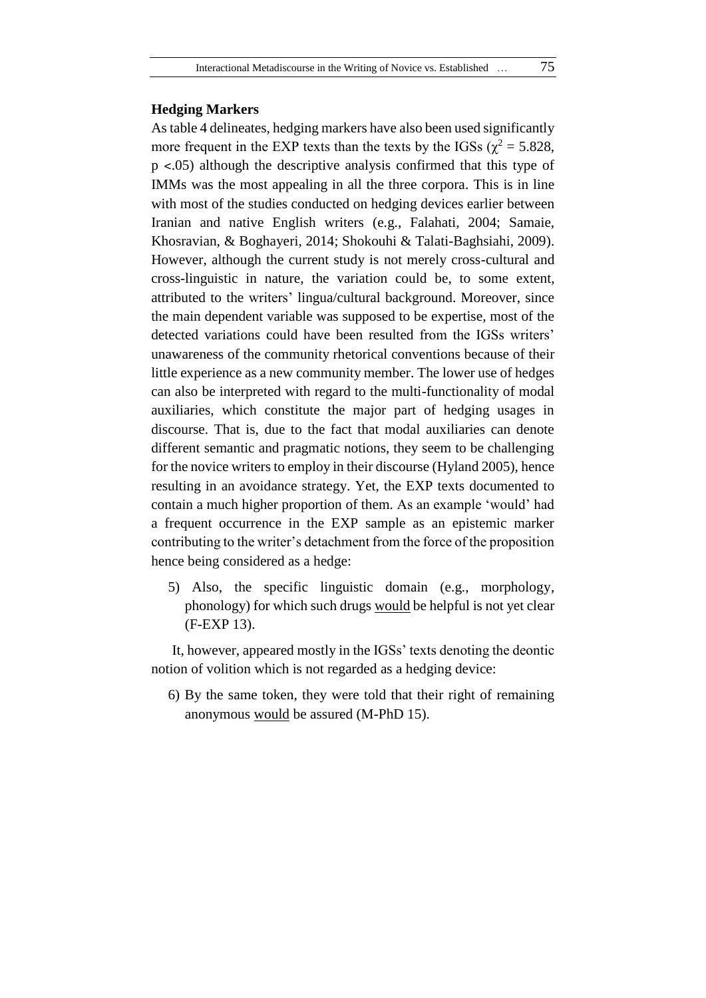### **Hedging Markers**

As table 4 delineates, hedging markers have also been used significantly more frequent in the EXP texts than the texts by the IGSs ( $\chi^2$  = 5.828,  $p \leq 0.05$ ) although the descriptive analysis confirmed that this type of IMMs was the most appealing in all the three corpora. This is in line with most of the studies conducted on hedging devices earlier between Iranian and native English writers (e.g., Falahati, 2004; Samaie, Khosravian, & Boghayeri, 2014; Shokouhi & Talati-Baghsiahi, 2009). However, although the current study is not merely cross-cultural and cross-linguistic in nature, the variation could be, to some extent, attributed to the writers' lingua/cultural background. Moreover, since the main dependent variable was supposed to be expertise, most of the detected variations could have been resulted from the IGSs writers' unawareness of the community rhetorical conventions because of their little experience as a new community member. The lower use of hedges can also be interpreted with regard to the multi-functionality of modal auxiliaries, which constitute the major part of hedging usages in discourse. That is, due to the fact that modal auxiliaries can denote different semantic and pragmatic notions, they seem to be challenging for the novice writers to employ in their discourse (Hyland 2005), hence resulting in an avoidance strategy. Yet, the EXP texts documented to contain a much higher proportion of them. As an example 'would' had a frequent occurrence in the EXP sample as an epistemic marker contributing to the writer's detachment from the force of the proposition hence being considered as a hedge:

5) Also, the specific linguistic domain (e.g., morphology, phonology) for which such drugs would be helpful is not yet clear (F-EXP 13).

It, however, appeared mostly in the IGSs' texts denoting the deontic notion of volition which is not regarded as a hedging device:

6) By the same token, they were told that their right of remaining anonymous would be assured (M-PhD 15).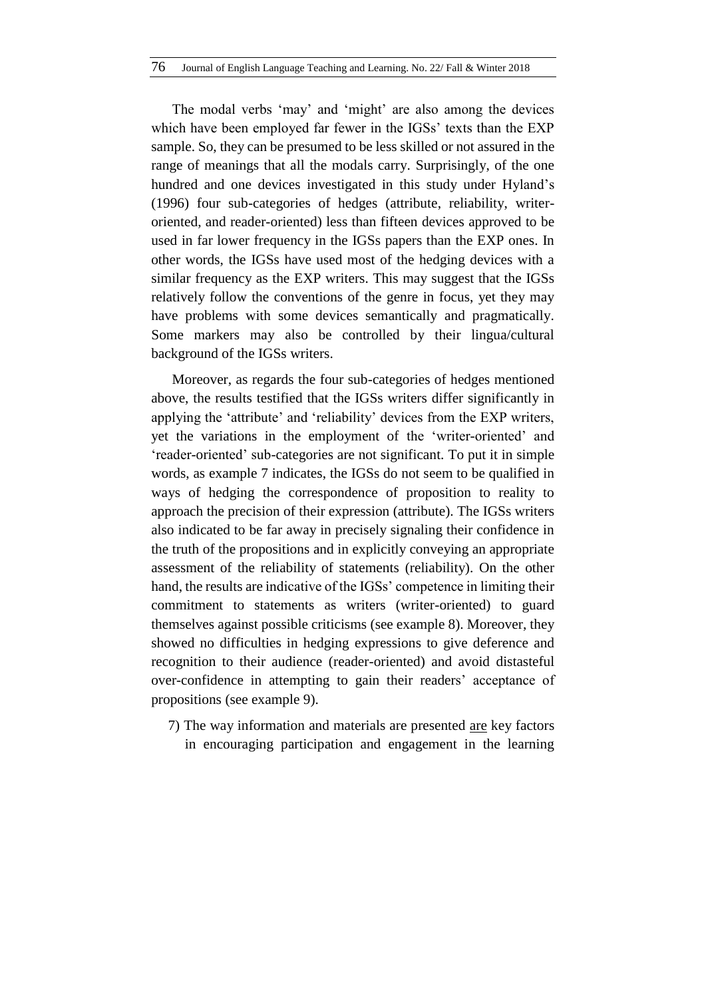The modal verbs 'may' and 'might' are also among the devices which have been employed far fewer in the IGSs' texts than the EXP sample. So, they can be presumed to be less skilled or not assured in the range of meanings that all the modals carry. Surprisingly, of the one hundred and one devices investigated in this study under Hyland's (1996) four sub-categories of hedges (attribute, reliability, writeroriented, and reader-oriented) less than fifteen devices approved to be used in far lower frequency in the IGSs papers than the EXP ones. In other words, the IGSs have used most of the hedging devices with a similar frequency as the EXP writers. This may suggest that the IGSs relatively follow the conventions of the genre in focus, yet they may have problems with some devices semantically and pragmatically. Some markers may also be controlled by their lingua/cultural background of the IGSs writers.

Moreover, as regards the four sub-categories of hedges mentioned above, the results testified that the IGSs writers differ significantly in applying the 'attribute' and 'reliability' devices from the EXP writers, yet the variations in the employment of the 'writer-oriented' and 'reader-oriented' sub-categories are not significant. To put it in simple words, as example 7 indicates, the IGSs do not seem to be qualified in ways of hedging the correspondence of proposition to reality to approach the precision of their expression (attribute). The IGSs writers also indicated to be far away in precisely signaling their confidence in the truth of the propositions and in explicitly conveying an appropriate assessment of the reliability of statements (reliability). On the other hand, the results are indicative of the IGSs' competence in limiting their commitment to statements as writers (writer-oriented) to guard themselves against possible criticisms (see example 8). Moreover, they showed no difficulties in hedging expressions to give deference and recognition to their audience (reader-oriented) and avoid distasteful over-confidence in attempting to gain their readers' acceptance of propositions (see example 9).

7) The way information and materials are presented are key factors in encouraging participation and engagement in the learning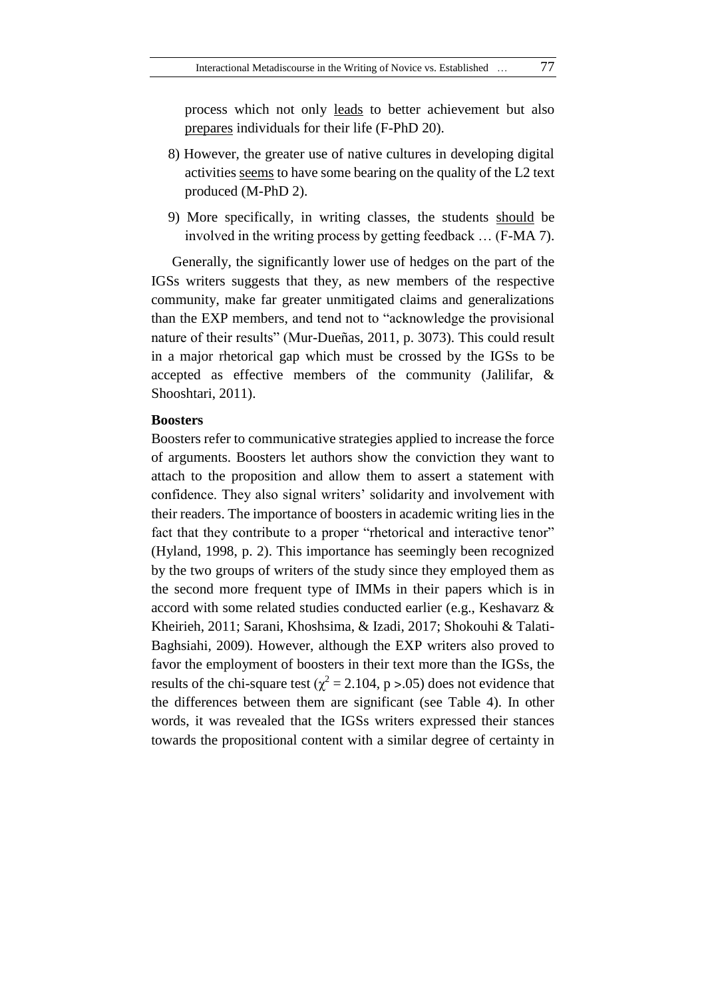process which not only leads to better achievement but also prepares individuals for their life (F-PhD 20).

- 8) However, the greater use of native cultures in developing digital activities seems to have some bearing on the quality of the L2 text produced (M-PhD 2).
- 9) More specifically, in writing classes, the students should be involved in the writing process by getting feedback … (F-MA 7).

Generally, the significantly lower use of hedges on the part of the IGSs writers suggests that they, as new members of the respective community, make far greater unmitigated claims and generalizations than the EXP members, and tend not to "acknowledge the provisional nature of their results" (Mur-Dueñas, 2011, p. 3073). This could result in a major rhetorical gap which must be crossed by the IGSs to be accepted as effective members of the community (Jalilifar, & Shooshtari, 2011).

### **Boosters**

Boosters refer to communicative strategies applied to increase the force of arguments. Boosters let authors show the conviction they want to attach to the proposition and allow them to assert a statement with confidence. They also signal writers' solidarity and involvement with their readers. The importance of boosters in academic writing lies in the fact that they contribute to a proper "rhetorical and interactive tenor" (Hyland, 1998, p. 2). This importance has seemingly been recognized by the two groups of writers of the study since they employed them as the second more frequent type of IMMs in their papers which is in accord with some related studies conducted earlier (e.g., Keshavarz & Kheirieh, 2011; Sarani, Khoshsima, & Izadi, 2017; Shokouhi & Talati-Baghsiahi, 2009). However, although the EXP writers also proved to favor the employment of boosters in their text more than the IGSs, the results of the chi-square test ( $\chi^2$  = 2.104, p > .05) does not evidence that the differences between them are significant (see Table 4). In other words, it was revealed that the IGSs writers expressed their stances towards the propositional content with a similar degree of certainty in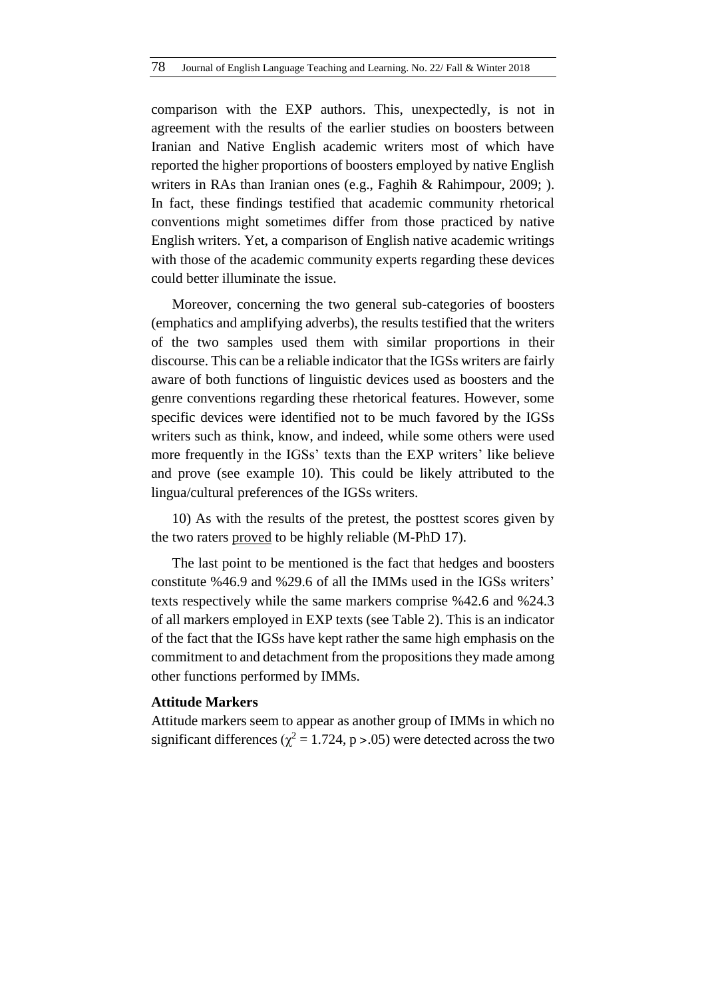comparison with the EXP authors. This, unexpectedly, is not in agreement with the results of the earlier studies on boosters between Iranian and Native English academic writers most of which have reported the higher proportions of boosters employed by native English writers in RAs than Iranian ones (e.g., Faghih & Rahimpour, 2009; ). In fact, these findings testified that academic community rhetorical conventions might sometimes differ from those practiced by native English writers. Yet, a comparison of English native academic writings with those of the academic community experts regarding these devices could better illuminate the issue.

Moreover, concerning the two general sub-categories of boosters (emphatics and amplifying adverbs), the results testified that the writers of the two samples used them with similar proportions in their discourse. This can be a reliable indicator that the IGSs writers are fairly aware of both functions of linguistic devices used as boosters and the genre conventions regarding these rhetorical features. However, some specific devices were identified not to be much favored by the IGSs writers such as think, know, and indeed, while some others were used more frequently in the IGSs' texts than the EXP writers' like believe and prove (see example 10). This could be likely attributed to the lingua/cultural preferences of the IGSs writers.

10) As with the results of the pretest, the posttest scores given by the two raters proved to be highly reliable (M-PhD 17).

The last point to be mentioned is the fact that hedges and boosters constitute %46.9 and %29.6 of all the IMMs used in the IGSs writers' texts respectively while the same markers comprise %42.6 and %24.3 of all markers employed in EXP texts (see Table 2). This is an indicator of the fact that the IGSs have kept rather the same high emphasis on the commitment to and detachment from the propositions they made among other functions performed by IMMs.

### **Attitude Markers**

Attitude markers seem to appear as another group of IMMs in which no significant differences ( $\chi^2$  = 1.724, p > .05) were detected across the two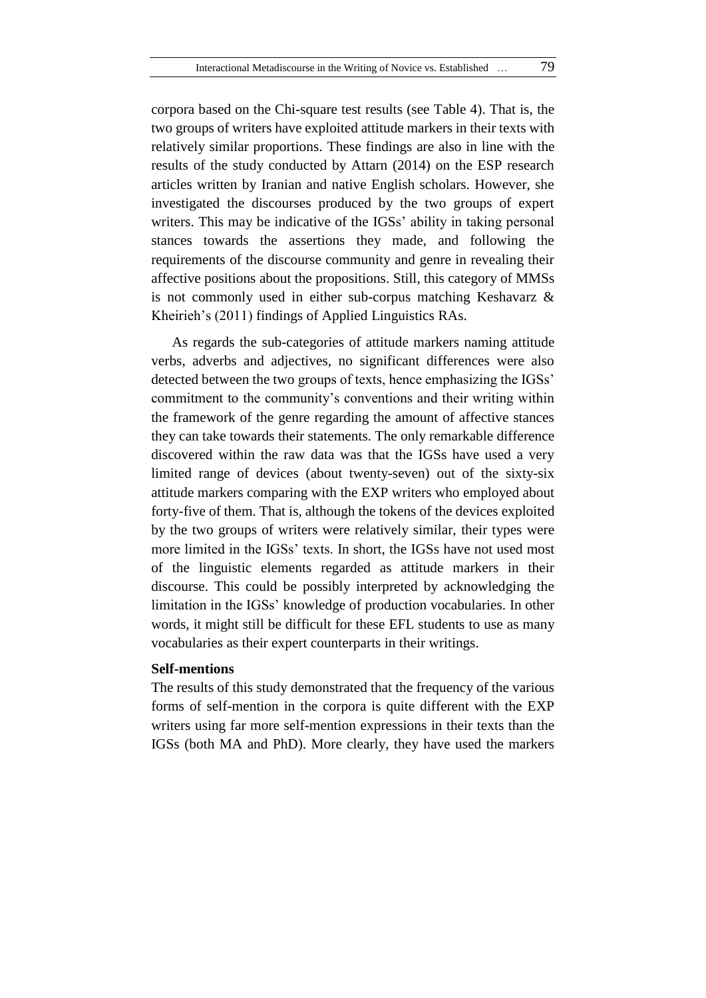corpora based on the Chi-square test results (see Table 4). That is, the two groups of writers have exploited attitude markers in their texts with relatively similar proportions. These findings are also in line with the results of the study conducted by Attarn (2014) on the ESP research articles written by Iranian and native English scholars. However, she investigated the discourses produced by the two groups of expert writers. This may be indicative of the IGSs' ability in taking personal stances towards the assertions they made, and following the requirements of the discourse community and genre in revealing their affective positions about the propositions. Still, this category of MMSs is not commonly used in either sub-corpus matching Keshavarz & Kheirieh's (2011) findings of Applied Linguistics RAs.

As regards the sub-categories of attitude markers naming attitude verbs, adverbs and adjectives, no significant differences were also detected between the two groups of texts, hence emphasizing the IGSs' commitment to the community's conventions and their writing within the framework of the genre regarding the amount of affective stances they can take towards their statements. The only remarkable difference discovered within the raw data was that the IGSs have used a very limited range of devices (about twenty-seven) out of the sixty-six attitude markers comparing with the EXP writers who employed about forty-five of them. That is, although the tokens of the devices exploited by the two groups of writers were relatively similar, their types were more limited in the IGSs' texts. In short, the IGSs have not used most of the linguistic elements regarded as attitude markers in their discourse. This could be possibly interpreted by acknowledging the limitation in the IGSs' knowledge of production vocabularies. In other words, it might still be difficult for these EFL students to use as many vocabularies as their expert counterparts in their writings.

### **Self-mentions**

The results of this study demonstrated that the frequency of the various forms of self-mention in the corpora is quite different with the EXP writers using far more self-mention expressions in their texts than the IGSs (both MA and PhD). More clearly, they have used the markers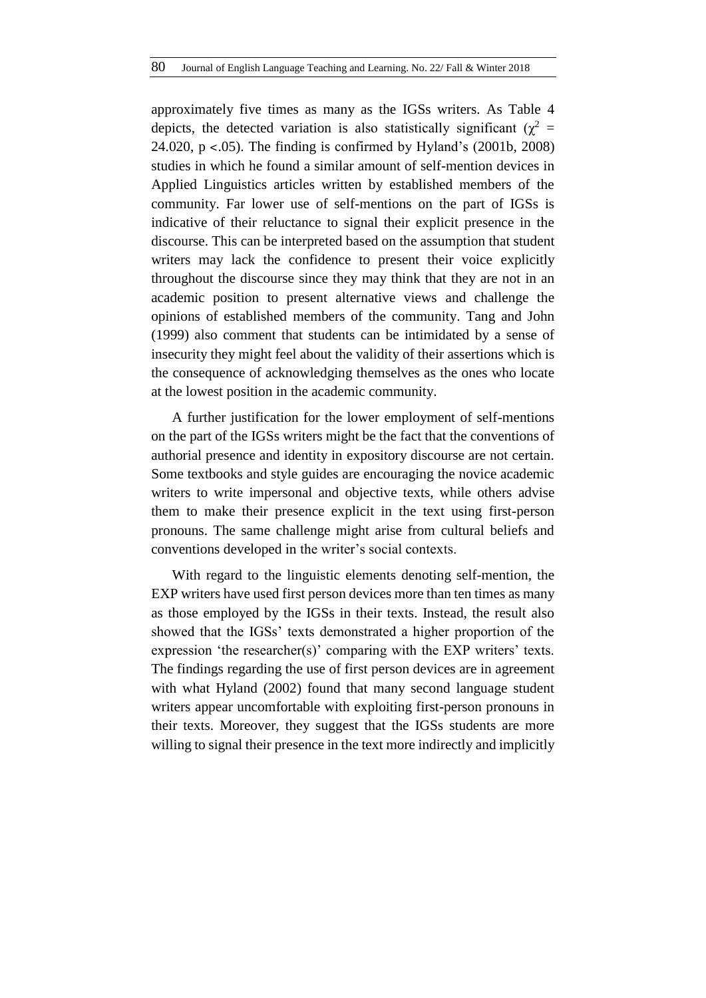approximately five times as many as the IGSs writers. As Table 4 depicts, the detected variation is also statistically significant ( $\chi^2$  = 24.020, p ˂.05). The finding is confirmed by Hyland's (2001b, 2008) studies in which he found a similar amount of self-mention devices in Applied Linguistics articles written by established members of the community. Far lower use of self-mentions on the part of IGSs is indicative of their reluctance to signal their explicit presence in the discourse. This can be interpreted based on the assumption that student writers may lack the confidence to present their voice explicitly throughout the discourse since they may think that they are not in an academic position to present alternative views and challenge the opinions of established members of the community. Tang and John (1999) also comment that students can be intimidated by a sense of insecurity they might feel about the validity of their assertions which is the consequence of acknowledging themselves as the ones who locate at the lowest position in the academic community.

A further justification for the lower employment of self-mentions on the part of the IGSs writers might be the fact that the conventions of authorial presence and identity in expository discourse are not certain. Some textbooks and style guides are encouraging the novice academic writers to write impersonal and objective texts, while others advise them to make their presence explicit in the text using first-person pronouns. The same challenge might arise from cultural beliefs and conventions developed in the writer's social contexts.

With regard to the linguistic elements denoting self-mention, the EXP writers have used first person devices more than ten times as many as those employed by the IGSs in their texts. Instead, the result also showed that the IGSs' texts demonstrated a higher proportion of the expression 'the researcher(s)' comparing with the EXP writers' texts. The findings regarding the use of first person devices are in agreement with what Hyland (2002) found that many second language student writers appear uncomfortable with exploiting first-person pronouns in their texts. Moreover, they suggest that the IGSs students are more willing to signal their presence in the text more indirectly and implicitly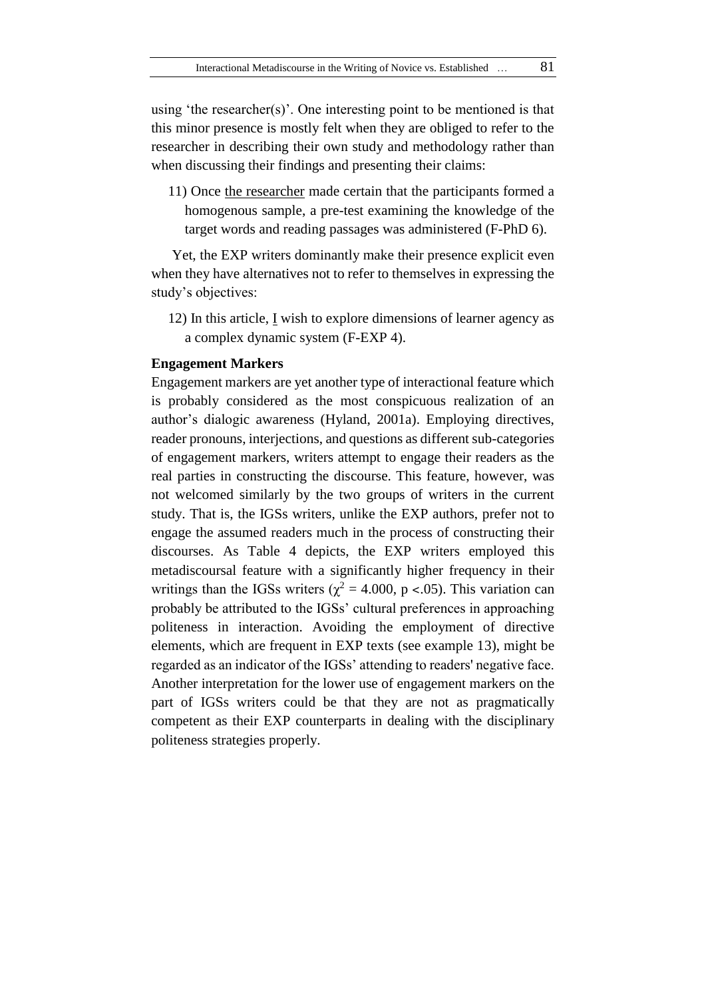using 'the researcher(s)'. One interesting point to be mentioned is that this minor presence is mostly felt when they are obliged to refer to the researcher in describing their own study and methodology rather than when discussing their findings and presenting their claims:

11) Once the researcher made certain that the participants formed a homogenous sample, a pre-test examining the knowledge of the target words and reading passages was administered (F-PhD 6).

Yet, the EXP writers dominantly make their presence explicit even when they have alternatives not to refer to themselves in expressing the study's objectives:

12) In this article, I wish to explore dimensions of learner agency as a complex dynamic system (F-EXP 4).

### **Engagement Markers**

Engagement markers are yet another type of interactional feature which is probably considered as the most conspicuous realization of an author's dialogic awareness (Hyland, 2001a). Employing directives, reader pronouns, interjections, and questions as different sub-categories of engagement markers, writers attempt to engage their readers as the real parties in constructing the discourse. This feature, however, was not welcomed similarly by the two groups of writers in the current study. That is, the IGSs writers, unlike the EXP authors, prefer not to engage the assumed readers much in the process of constructing their discourses. As Table 4 depicts, the EXP writers employed this metadiscoursal feature with a significantly higher frequency in their writings than the IGSs writers ( $\chi^2$  = 4.000, p <.05). This variation can probably be attributed to the IGSs' cultural preferences in approaching politeness in interaction. Avoiding the employment of directive elements, which are frequent in EXP texts (see example 13), might be regarded as an indicator of the IGSs' attending to readers' negative face. Another interpretation for the lower use of engagement markers on the part of IGSs writers could be that they are not as pragmatically competent as their EXP counterparts in dealing with the disciplinary politeness strategies properly.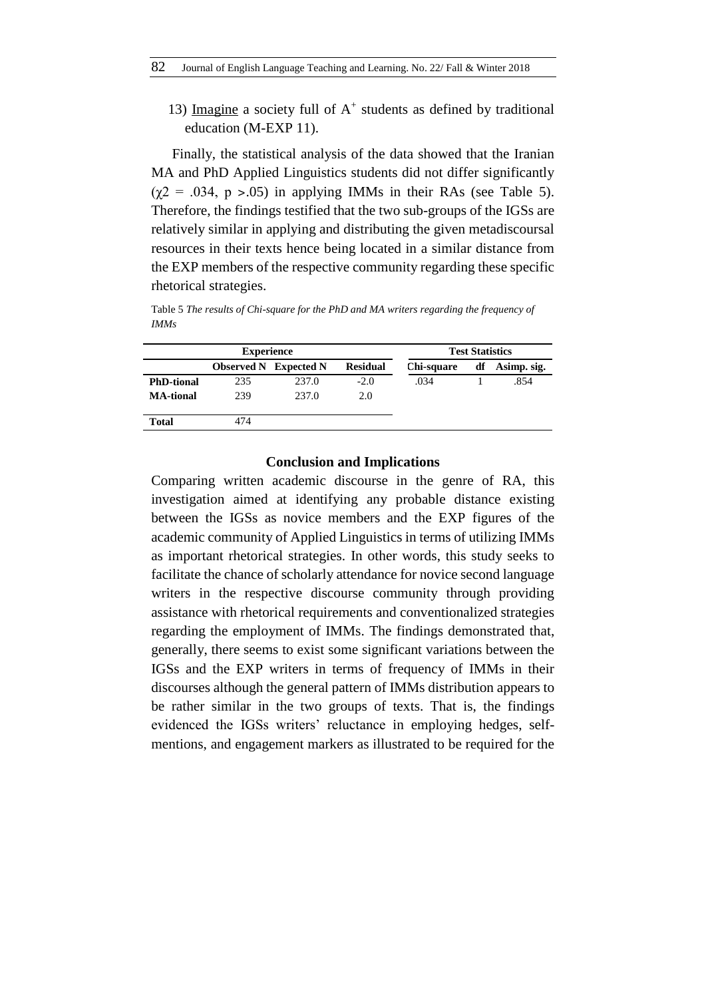13) Imagine a society full of  $A<sup>+</sup>$  students as defined by traditional education (M-EXP 11).

Finally, the statistical analysis of the data showed that the Iranian MA and PhD Applied Linguistics students did not differ significantly  $(\chi^2 = .034, p > .05)$  in applying IMMs in their RAs (see Table 5). Therefore, the findings testified that the two sub-groups of the IGSs are relatively similar in applying and distributing the given metadiscoursal resources in their texts hence being located in a similar distance from the EXP members of the respective community regarding these specific rhetorical strategies.

Table 5 *The results of Chi-square for the PhD and MA writers regarding the frequency of IMMs*

| <b>Experience</b> |                              |       | <b>Test Statistics</b> |            |    |             |
|-------------------|------------------------------|-------|------------------------|------------|----|-------------|
|                   | <b>Observed N</b> Expected N |       | <b>Residual</b>        | Chi-square | df | Asimp. sig. |
| <b>PhD-tional</b> | 235                          | 237.0 | $-2.0$                 | .034       |    | .854        |
| <b>MA-tional</b>  | 239                          | 237.0 | 2.0                    |            |    |             |
| <b>Total</b>      | 474                          |       |                        |            |    |             |

#### **Conclusion and Implications**

Comparing written academic discourse in the genre of RA, this investigation aimed at identifying any probable distance existing between the IGSs as novice members and the EXP figures of the academic community of Applied Linguistics in terms of utilizing IMMs as important rhetorical strategies. In other words, this study seeks to facilitate the chance of scholarly attendance for novice second language writers in the respective discourse community through providing assistance with rhetorical requirements and conventionalized strategies regarding the employment of IMMs. The findings demonstrated that, generally, there seems to exist some significant variations between the IGSs and the EXP writers in terms of frequency of IMMs in their discourses although the general pattern of IMMs distribution appears to be rather similar in the two groups of texts. That is, the findings evidenced the IGSs writers' reluctance in employing hedges, selfmentions, and engagement markers as illustrated to be required for the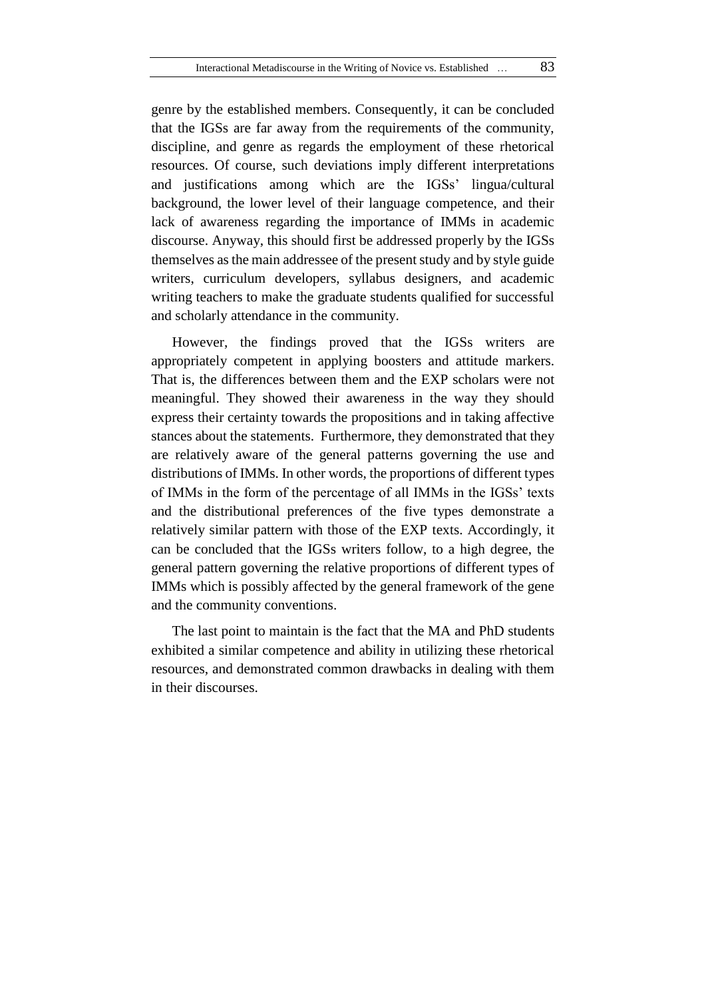genre by the established members. Consequently, it can be concluded that the IGSs are far away from the requirements of the community, discipline, and genre as regards the employment of these rhetorical resources. Of course, such deviations imply different interpretations and justifications among which are the IGSs' lingua/cultural background, the lower level of their language competence, and their lack of awareness regarding the importance of IMMs in academic discourse. Anyway, this should first be addressed properly by the IGSs themselves as the main addressee of the present study and by style guide writers, curriculum developers, syllabus designers, and academic writing teachers to make the graduate students qualified for successful and scholarly attendance in the community.

However, the findings proved that the IGSs writers are appropriately competent in applying boosters and attitude markers. That is, the differences between them and the EXP scholars were not meaningful. They showed their awareness in the way they should express their certainty towards the propositions and in taking affective stances about the statements. Furthermore, they demonstrated that they are relatively aware of the general patterns governing the use and distributions of IMMs. In other words, the proportions of different types of IMMs in the form of the percentage of all IMMs in the IGSs' texts and the distributional preferences of the five types demonstrate a relatively similar pattern with those of the EXP texts. Accordingly, it can be concluded that the IGSs writers follow, to a high degree, the general pattern governing the relative proportions of different types of IMMs which is possibly affected by the general framework of the gene and the community conventions.

The last point to maintain is the fact that the MA and PhD students exhibited a similar competence and ability in utilizing these rhetorical resources, and demonstrated common drawbacks in dealing with them in their discourses.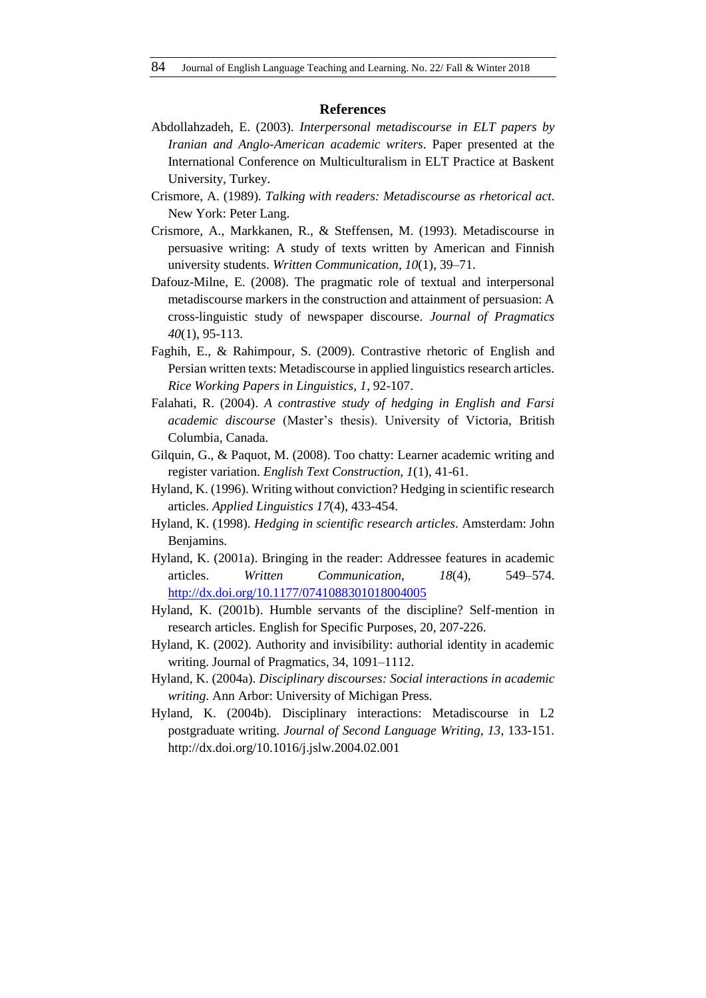#### **References**

- Abdollahzadeh, E. (2003). *Interpersonal metadiscourse in ELT papers by Iranian and Anglo-American academic writers*. Paper presented at the International Conference on Multiculturalism in ELT Practice at Baskent University, Turkey.
- Crismore, A. (1989). *Talking with readers: Metadiscourse as rhetorical act*. New York: Peter Lang.
- Crismore, A., Markkanen, R., & Steffensen, M. (1993). Metadiscourse in persuasive writing: A study of texts written by American and Finnish university students. *Written Communication, 10*(1), 39–71.
- Dafouz-Milne, E. (2008). The pragmatic role of textual and interpersonal metadiscourse markers in the construction and attainment of persuasion: A cross-linguistic study of newspaper discourse. *Journal of Pragmatics 40*(1), 95-113.
- Faghih, E., & Rahimpour, S. (2009). Contrastive rhetoric of English and Persian written texts: Metadiscourse in applied linguistics research articles. *Rice Working Papers in Linguistics, 1*, 92-107.
- Falahati, R. (2004). *A contrastive study of hedging in English and Farsi academic discourse* (Master's thesis). University of Victoria, British Columbia, Canada.
- Gilquin, G., & Paquot, M. (2008). Too chatty: Learner academic writing and register variation. *English Text Construction, 1*(1), 41-61.
- Hyland, K. (1996). Writing without conviction? Hedging in scientific research articles. *Applied Linguistics 17*(4), 433-454.
- Hyland, K. (1998). *Hedging in scientific research articles*. Amsterdam: John Benjamins.
- Hyland, K. (2001a). Bringing in the reader: Addressee features in academic articles. *Written Communication, 18*(4), 549–574. <http://dx.doi.org/10.1177/0741088301018004005>
- Hyland, K. (2001b). Humble servants of the discipline? Self-mention in research articles. English for Specific Purposes, 20, 207-226.
- Hyland, K. (2002). Authority and invisibility: authorial identity in academic writing. Journal of Pragmatics, 34, 1091–1112.
- Hyland, K. (2004a). *Disciplinary discourses: Social interactions in academic writing*. Ann Arbor: University of Michigan Press.
- Hyland, K. (2004b). Disciplinary interactions: Metadiscourse in L2 postgraduate writing. *Journal of Second Language Writing, 13*, 133-151. http://dx.doi.org/10.1016/j.jslw.2004.02.001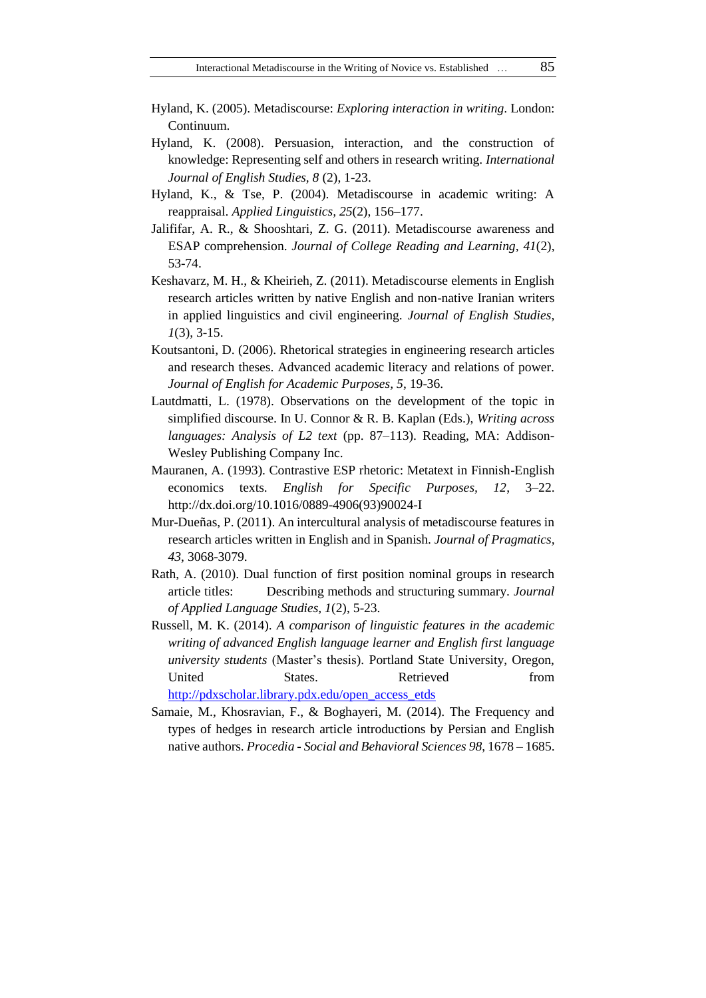- Hyland, K. (2005). Metadiscourse: *Exploring interaction in writing*. London: Continuum.
- Hyland, K. (2008). Persuasion, interaction, and the construction of knowledge: Representing self and others in research writing. *International Journal of English Studies, 8* (2), 1-23.
- Hyland, K., & Tse, P. (2004). Metadiscourse in academic writing: A reappraisal. *Applied Linguistics, 25*(2), 156–177.
- Jalififar, A. R., & Shooshtari, Z. G. (2011). Metadiscourse awareness and ESAP comprehension. *Journal of College Reading and Learning, 41*(2), 53-74.
- Keshavarz, M. H., & Kheirieh, Z. (2011). Metadiscourse elements in English research articles written by native English and non-native Iranian writers in applied linguistics and civil engineering. *Journal of English Studies, 1*(3), 3-15.
- Koutsantoni, D. (2006). Rhetorical strategies in engineering research articles and research theses. Advanced academic literacy and relations of power. *Journal of English for Academic Purposes, 5*, 19-36.
- Lautdmatti, L. (1978). Observations on the development of the topic in simplified discourse. In U. Connor & R. B. Kaplan (Eds.), *Writing across languages: Analysis of L2 text* (pp. 87–113). Reading, MA: Addison-Wesley Publishing Company Inc.
- Mauranen, A. (1993). Contrastive ESP rhetoric: Metatext in Finnish-English economics texts. *English for Specific Purposes, 12*, 3–22. http://dx.doi.org/10.1016/0889-4906(93)90024-I
- Mur-Dueñas, P. (2011). An intercultural analysis of metadiscourse features in research articles written in English and in Spanish. *Journal of Pragmatics, 43*, 3068-3079.
- Rath, A. (2010). Dual function of first position nominal groups in research article titles: Describing methods and structuring summary. *Journal of Applied Language Studies, 1*(2), 5-23.
- Russell, M. K. (2014). *A comparison of linguistic features in the academic writing of advanced English language learner and English first language university students* (Master's thesis). Portland State University, Oregon, United States. Retrieved from [http://pdxscholar.library.pdx.edu/open\\_access\\_etds](http://pdxscholar.library.pdx.edu/open_access_etds)
- Samaie, M., Khosravian, F., & Boghayeri, M. (2014). The Frequency and types of hedges in research article introductions by Persian and English native authors. *Procedia - Social and Behavioral Sciences 98*, 1678 – 1685.